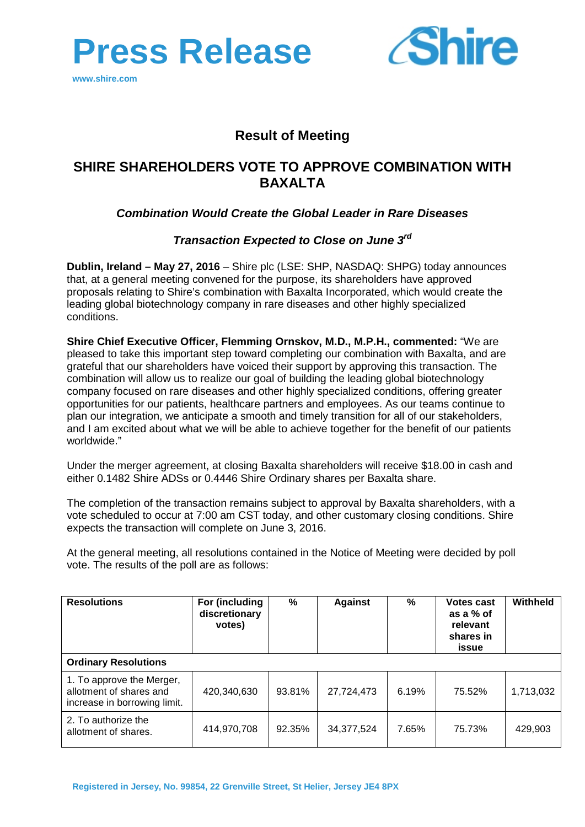



# **Result of Meeting**

# **SHIRE SHAREHOLDERS VOTE TO APPROVE COMBINATION WITH BAXALTA**

## *Combination Would Create the Global Leader in Rare Diseases*

### *Transaction Expected to Close on June 3rd*

**Dublin, Ireland – May 27, 2016** – Shire plc (LSE: SHP, NASDAQ: SHPG) today announces that, at a general meeting convened for the purpose, its shareholders have approved proposals relating to Shire's combination with Baxalta Incorporated, which would create the leading global biotechnology company in rare diseases and other highly specialized conditions.

**Shire Chief Executive Officer, Flemming Ornskov, M.D., M.P.H., commented:** "We are pleased to take this important step toward completing our combination with Baxalta, and are grateful that our shareholders have voiced their support by approving this transaction. The combination will allow us to realize our goal of building the leading global biotechnology company focused on rare diseases and other highly specialized conditions, offering greater opportunities for our patients, healthcare partners and employees. As our teams continue to plan our integration, we anticipate a smooth and timely transition for all of our stakeholders, and I am excited about what we will be able to achieve together for the benefit of our patients worldwide."

Under the merger agreement, at closing Baxalta shareholders will receive \$18.00 in cash and either 0.1482 Shire ADSs or 0.4446 Shire Ordinary shares per Baxalta share.

The completion of the transaction remains subject to approval by Baxalta shareholders, with a vote scheduled to occur at 7:00 am CST today, and other customary closing conditions. Shire expects the transaction will complete on June 3, 2016.

At the general meeting, all resolutions contained in the Notice of Meeting were decided by poll vote. The results of the poll are as follows:

| <b>Resolutions</b>                                                                   | For (including<br>discretionary<br>votes) | $\%$   | <b>Against</b> | $\%$  | <b>Votes cast</b><br>as a % of<br>relevant<br>shares in<br>issue | Withheld  |
|--------------------------------------------------------------------------------------|-------------------------------------------|--------|----------------|-------|------------------------------------------------------------------|-----------|
| <b>Ordinary Resolutions</b>                                                          |                                           |        |                |       |                                                                  |           |
| 1. To approve the Merger,<br>allotment of shares and<br>increase in borrowing limit. | 420,340,630                               | 93.81% | 27,724,473     | 6.19% | 75.52%                                                           | 1,713,032 |
| 2. To authorize the<br>allotment of shares.                                          | 414,970,708                               | 92.35% | 34,377,524     | 7.65% | 75.73%                                                           | 429,903   |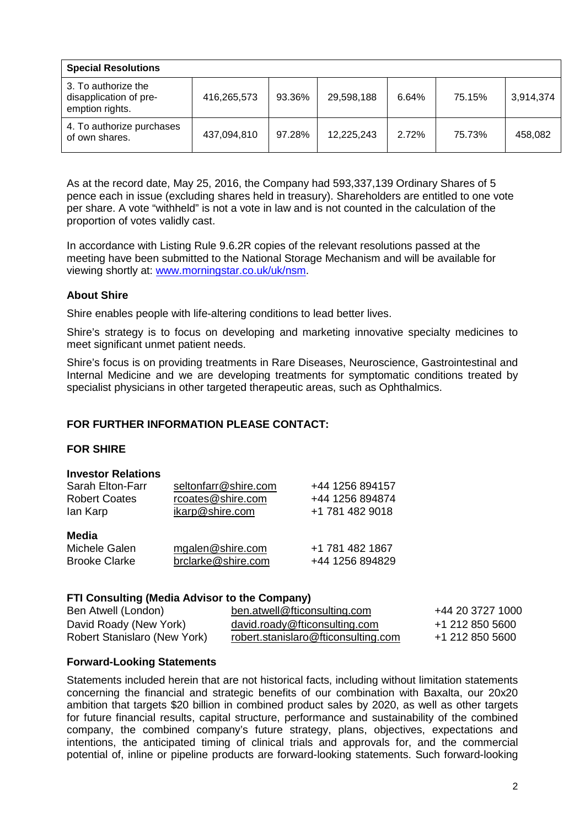| <b>Special Resolutions</b>                                       |             |        |            |       |        |           |
|------------------------------------------------------------------|-------------|--------|------------|-------|--------|-----------|
| 3. To authorize the<br>disapplication of pre-<br>emption rights. | 416,265,573 | 93.36% | 29,598,188 | 6.64% | 75.15% | 3,914,374 |
| 4. To authorize purchases<br>of own shares.                      | 437,094,810 | 97.28% | 12,225,243 | 2.72% | 75.73% | 458.082   |

As at the record date, May 25, 2016, the Company had 593,337,139 Ordinary Shares of 5 pence each in issue (excluding shares held in treasury). Shareholders are entitled to one vote per share. A vote "withheld" is not a vote in law and is not counted in the calculation of the proportion of votes validly cast.

In accordance with Listing Rule 9.6.2R copies of the relevant resolutions passed at the meeting have been submitted to the National Storage Mechanism and will be available for viewing shortly at: [www.morningstar.co.uk/uk/nsm.](http://www.morningstar.co.uk/uk/nsm)

### **About Shire**

Shire enables people with life-altering conditions to lead better lives.

Shire's strategy is to focus on developing and marketing innovative specialty medicines to meet significant unmet patient needs.

Shire's focus is on providing treatments in Rare Diseases, Neuroscience, Gastrointestinal and Internal Medicine and we are developing treatments for symptomatic conditions treated by specialist physicians in other targeted therapeutic areas, such as Ophthalmics.

#### **FOR FURTHER INFORMATION PLEASE CONTACT:**

#### **FOR SHIRE**

#### **Investor Relations**

| Sarah Elton-Farr                               | seltonfarr@shire.com                   | +44 1256 894157                    |
|------------------------------------------------|----------------------------------------|------------------------------------|
| <b>Robert Coates</b>                           | rcoates@shire.com                      | +44 1256 894874                    |
| lan Karp                                       | ikarp@shire.com                        | +1 781 482 9018                    |
| Media<br>Michele Galen<br><b>Brooke Clarke</b> | mgalen@shire.com<br>brclarke@shire.com | +1 781 482 1867<br>+44 1256 894829 |

#### **FTI Consulting (Media Advisor to the Company)**

| Ben Atwell (London)          | ben.atwell@fticonsulting.com        | +44 20 3727 1000 |
|------------------------------|-------------------------------------|------------------|
| David Roady (New York)       | david.roady@fticonsulting.com       | +1 212 850 5600  |
| Robert Stanislaro (New York) | robert.stanislaro@fticonsulting.com | +1 212 850 5600  |

#### **Forward-Looking Statements**

Statements included herein that are not historical facts, including without limitation statements concerning the financial and strategic benefits of our combination with Baxalta, our 20x20 ambition that targets \$20 billion in combined product sales by 2020, as well as other targets for future financial results, capital structure, performance and sustainability of the combined company, the combined company's future strategy, plans, objectives, expectations and intentions, the anticipated timing of clinical trials and approvals for, and the commercial potential of, inline or pipeline products are forward-looking statements. Such forward-looking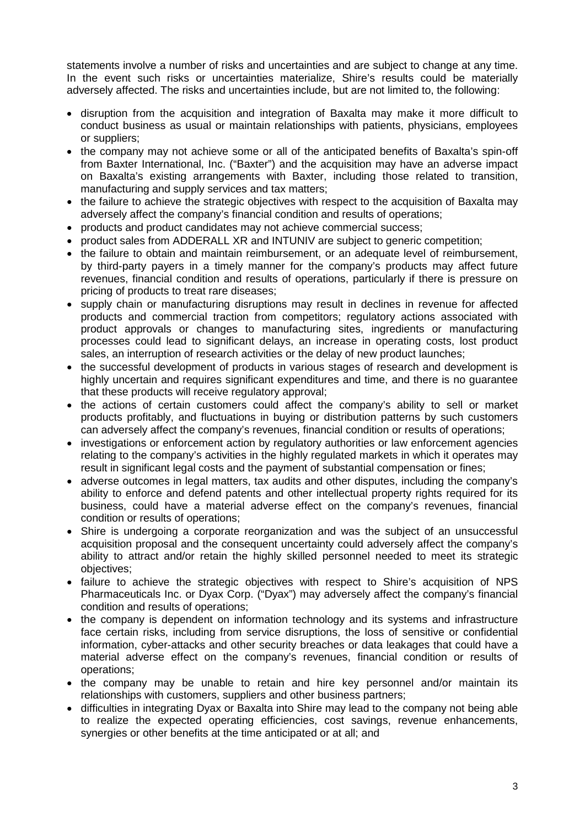statements involve a number of risks and uncertainties and are subject to change at any time. In the event such risks or uncertainties materialize, Shire's results could be materially adversely affected. The risks and uncertainties include, but are not limited to, the following:

- disruption from the acquisition and integration of Baxalta may make it more difficult to conduct business as usual or maintain relationships with patients, physicians, employees or suppliers;
- the company may not achieve some or all of the anticipated benefits of Baxalta's spin-off from Baxter International, Inc. ("Baxter") and the acquisition may have an adverse impact on Baxalta's existing arrangements with Baxter, including those related to transition, manufacturing and supply services and tax matters;
- the failure to achieve the strategic objectives with respect to the acquisition of Baxalta may adversely affect the company's financial condition and results of operations;
- products and product candidates may not achieve commercial success;
- product sales from ADDERALL XR and INTUNIV are subject to generic competition;
- the failure to obtain and maintain reimbursement, or an adequate level of reimbursement, by third-party payers in a timely manner for the company's products may affect future revenues, financial condition and results of operations, particularly if there is pressure on pricing of products to treat rare diseases;
- supply chain or manufacturing disruptions may result in declines in revenue for affected products and commercial traction from competitors; regulatory actions associated with product approvals or changes to manufacturing sites, ingredients or manufacturing processes could lead to significant delays, an increase in operating costs, lost product sales, an interruption of research activities or the delay of new product launches;
- the successful development of products in various stages of research and development is highly uncertain and requires significant expenditures and time, and there is no guarantee that these products will receive regulatory approval;
- the actions of certain customers could affect the company's ability to sell or market products profitably, and fluctuations in buying or distribution patterns by such customers can adversely affect the company's revenues, financial condition or results of operations;
- investigations or enforcement action by regulatory authorities or law enforcement agencies relating to the company's activities in the highly regulated markets in which it operates may result in significant legal costs and the payment of substantial compensation or fines;
- adverse outcomes in legal matters, tax audits and other disputes, including the company's ability to enforce and defend patents and other intellectual property rights required for its business, could have a material adverse effect on the company's revenues, financial condition or results of operations;
- Shire is undergoing a corporate reorganization and was the subject of an unsuccessful acquisition proposal and the consequent uncertainty could adversely affect the company's ability to attract and/or retain the highly skilled personnel needed to meet its strategic objectives;
- failure to achieve the strategic objectives with respect to Shire's acquisition of NPS Pharmaceuticals Inc. or Dyax Corp. ("Dyax") may adversely affect the company's financial condition and results of operations;
- the company is dependent on information technology and its systems and infrastructure face certain risks, including from service disruptions, the loss of sensitive or confidential information, cyber-attacks and other security breaches or data leakages that could have a material adverse effect on the company's revenues, financial condition or results of operations;
- the company may be unable to retain and hire key personnel and/or maintain its relationships with customers, suppliers and other business partners;
- difficulties in integrating Dyax or Baxalta into Shire may lead to the company not being able to realize the expected operating efficiencies, cost savings, revenue enhancements, synergies or other benefits at the time anticipated or at all; and